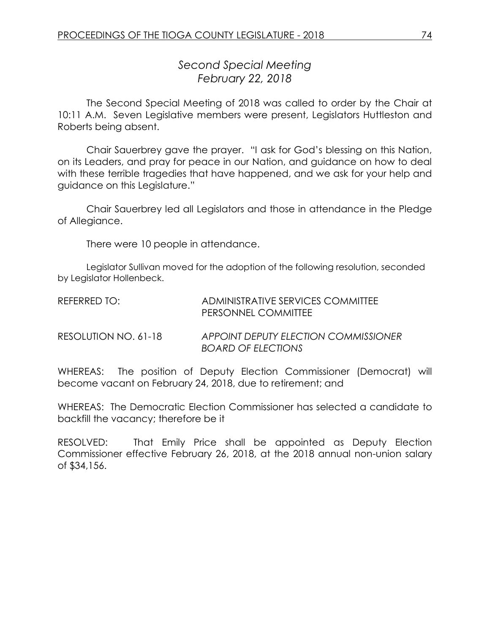*Second Special Meeting February 22, 2018*

The Second Special Meeting of 2018 was called to order by the Chair at 10:11 A.M. Seven Legislative members were present, Legislators Huttleston and Roberts being absent.

Chair Sauerbrey gave the prayer. "I ask for God's blessing on this Nation, on its Leaders, and pray for peace in our Nation, and guidance on how to deal with these terrible tragedies that have happened, and we ask for your help and guidance on this Legislature."

Chair Sauerbrey led all Legislators and those in attendance in the Pledge of Allegiance.

There were 10 people in attendance.

Legislator Sullivan moved for the adoption of the following resolution, seconded by Legislator Hollenbeck.

| REFERRED TO:         | ADMINISTRATIVE SERVICES COMMITTEE<br>PERSONNEL COMMITTEE                 |
|----------------------|--------------------------------------------------------------------------|
| RESOLUTION NO. 61-18 | <b>APPOINT DEPUTY ELECTION COMMISSIONER</b><br><b>BOARD OF ELECTIONS</b> |

WHEREAS: The position of Deputy Election Commissioner (Democrat) will become vacant on February 24, 2018, due to retirement; and

WHEREAS: The Democratic Election Commissioner has selected a candidate to backfill the vacancy; therefore be it

RESOLVED: That Emily Price shall be appointed as Deputy Election Commissioner effective February 26, 2018, at the 2018 annual non-union salary of \$34,156.